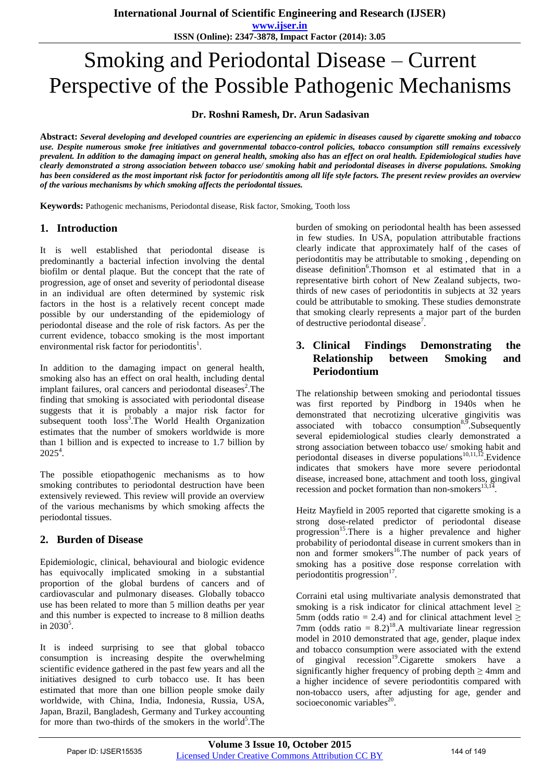**www.ijser.in**

**ISSN (Online): 2347-3878, Impact Factor (2014): 3.05**

# Smoking and Periodontal Disease – Current Perspective of the Possible Pathogenic Mechanisms

**Dr. Roshni Ramesh, Dr. Arun Sadasivan** 

**Abstract:** *Several developing and developed countries are experiencing an epidemic in diseases caused by cigarette smoking and tobacco use. Despite numerous smoke free initiatives and governmental tobacco-control policies, tobacco consumption still remains excessively prevalent. In addition to the damaging impact on general health, smoking also has an effect on oral health. Epidemiological studies have clearly demonstrated a strong association between tobacco use/ smoking habit and periodontal diseases in diverse populations. Smoking has been considered as the most important risk factor for periodontitis among all life style factors. The present review provides an overview of the various mechanisms by which smoking affects the periodontal tissues.*

**Keywords:** Pathogenic mechanisms, Periodontal disease, Risk factor, Smoking, Tooth loss

## **1. Introduction**

It is well established that periodontal disease is predominantly a bacterial infection involving the dental biofilm or dental plaque. But the concept that the rate of progression, age of onset and severity of periodontal disease in an individual are often determined by systemic risk factors in the host is a relatively recent concept made possible by our understanding of the epidemiology of periodontal disease and the role of risk factors. As per the current evidence, tobacco smoking is the most important environmental risk factor for periodontitis<sup>1</sup>.

In addition to the damaging impact on general health, smoking also has an effect on oral health, including dental implant failures, oral cancers and periodontal diseases<sup>2</sup>. The finding that smoking is associated with periodontal disease suggests that it is probably a major risk factor for subsequent tooth  $loss<sup>3</sup>$ . The World Health Organization estimates that the number of smokers worldwide is more than 1 billion and is expected to increase to 1.7 billion by  $2025^4$ .

The possible etiopathogenic mechanisms as to how smoking contributes to periodontal destruction have been extensively reviewed. This review will provide an overview of the various mechanisms by which smoking affects the periodontal tissues.

# **2. Burden of Disease**

Epidemiologic, clinical, behavioural and biologic evidence has equivocally implicated smoking in a substantial proportion of the global burdens of cancers and of cardiovascular and pulmonary diseases. Globally tobacco use has been related to more than 5 million deaths per year and this number is expected to increase to 8 million deaths in  $2030^5$ .

It is indeed surprising to see that global tobacco consumption is increasing despite the overwhelming scientific evidence gathered in the past few years and all the initiatives designed to curb tobacco use. It has been estimated that more than one billion people smoke daily worldwide, with China, India, Indonesia, Russia, USA, Japan, Brazil, Bangladesh, Germany and Turkey accounting for more than two-thirds of the smokers in the world<sup>5</sup>. The

burden of smoking on periodontal health has been assessed in few studies. In USA, population attributable fractions clearly indicate that approximately half of the cases of periodontitis may be attributable to smoking , depending on disease definition<sup>6</sup>. Thomson et al estimated that in a representative birth cohort of New Zealand subjects, twothirds of new cases of periodontitis in subjects at 32 years could be attributable to smoking. These studies demonstrate that smoking clearly represents a major part of the burden of destructive periodontal disease<sup>7</sup>.

## **3. Clinical Findings Demonstrating the Relationship between Smoking and Periodontium**

The relationship between smoking and periodontal tissues was first reported by Pindborg in 1940s when he demonstrated that necrotizing ulcerative gingivitis was associated with tobacco consumption $8,9$ . Subsequently several epidemiological studies clearly demonstrated a strong association between tobacco use/ smoking habit and periodontal diseases in diverse populations<sup>10,11,12</sup>. Evidence indicates that smokers have more severe periodontal disease, increased bone, attachment and tooth loss, gingival recession and pocket formation than non-smokers $^{13,14}$ .

Heitz Mayfield in 2005 reported that cigarette smoking is a strong dose-related predictor of periodontal disease progression<sup>15</sup>.There is a higher prevalence and higher probability of periodontal disease in current smokers than in non and former smokers<sup>16</sup>. The number of pack years of smoking has a positive dose response correlation with periodontitis progression $17$ .

Corraini etal using multivariate analysis demonstrated that smoking is a risk indicator for clinical attachment level  $\geq$ 5mm (odds ratio = 2.4) and for clinical attachment level  $>$ 7mm (odds ratio =  $8.2$ )<sup>18</sup>.A multivariate linear regression model in 2010 demonstrated that age, gender, plaque index and tobacco consumption were associated with the extend of gingival recession<sup>19</sup>.Cigarette smokers have a significantly higher frequency of probing depth  $\geq 4$ mm and a higher incidence of severe periodontitis compared with non-tobacco users, after adjusting for age, gender and socioeconomic variables<sup>20</sup>.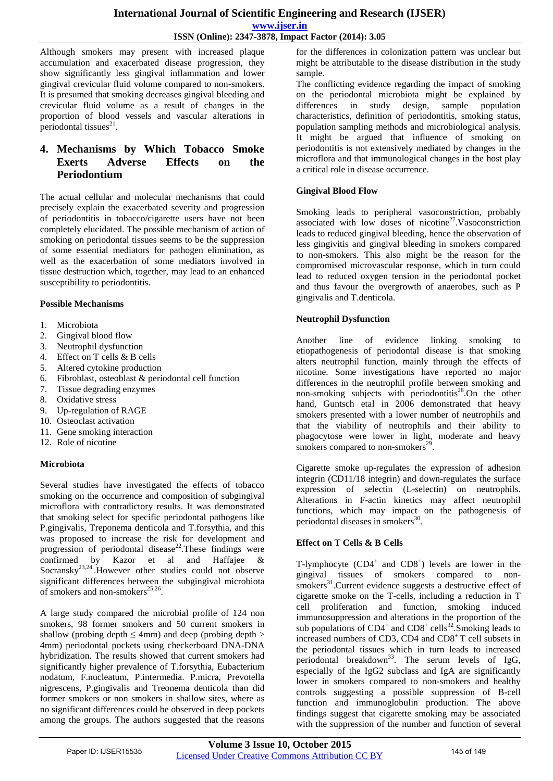#### **International Journal of Scientific Engineering and Research (IJSER) www.ijser.in ISSN (Online): 2347-3878, Impact Factor (2014): 3.05**

Although smokers may present with increased plaque accumulation and exacerbated disease progression, they show significantly less gingival inflammation and lower gingival crevicular fluid volume compared to non-smokers. It is presumed that smoking decreases gingival bleeding and crevicular fluid volume as a result of changes in the proportion of blood vessels and vascular alterations in periodontal tissues $^{21}$ .

# **4. Mechanisms by Which Tobacco Smoke Exerts Adverse Effects on the Periodontium**

The actual cellular and molecular mechanisms that could precisely explain the exacerbated severity and progression of periodontitis in tobacco/cigarette users have not been completely elucidated. The possible mechanism of action of smoking on periodontal tissues seems to be the suppression of some essential mediators for pathogen elimination, as well as the exacerbation of some mediators involved in tissue destruction which, together, may lead to an enhanced susceptibility to periodontitis.

#### **Possible Mechanisms**

- 1. Microbiota
- 2. Gingival blood flow
- 3. Neutrophil dysfunction
- 4. Effect on T cells & B cells
- 5. Altered cytokine production
- 6. Fibroblast, osteoblast & periodontal cell function
- 7. Tissue degrading enzymes
- 8. Oxidative stress
- 9. Up-regulation of RAGE
- 10. Osteoclast activation
- 11. Gene smoking interaction
- 12. Role of nicotine

#### **Microbiota**

Several studies have investigated the effects of tobacco smoking on the occurrence and composition of subgingival microflora with contradictory results. It was demonstrated that smoking select for specific periodontal pathogens like P.gingivalis, Treponema denticola and T.forsythia, and this was proposed to increase the risk for development and progression of periodontal disease<sup>22</sup>. These findings were confirmed by Kazor et al and Haffajee & Socransky<sup>23,24</sup>. However other studies could not observe significant differences between the subgingival microbiota of smokers and non-smokers<sup>25,26</sup>.

A large study compared the microbial profile of 124 non smokers, 98 former smokers and 50 current smokers in shallow (probing depth  $\leq$  4mm) and deep (probing depth  $>$ 4mm) periodontal pockets using checkerboard DNA-DNA hybridization. The results showed that current smokers had significantly higher prevalence of T.forsythia, Eubacterium nodatum, F.nucleatum, P.intermedia. P.micra, Prevotella nigrescens, P.gingivalis and Treonema denticola than did former smokers or non smokers in shallow sites, where as no significant differences could be observed in deep pockets among the groups. The authors suggested that the reasons

for the differences in colonization pattern was unclear but might be attributable to the disease distribution in the study sample.

The conflicting evidence regarding the impact of smoking on the periodontal microbiota might be explained by differences in study design, sample population characteristics, definition of periodontitis, smoking status, population sampling methods and microbiological analysis. It might be argued that influence of smoking on periodontitis is not extensively mediated by changes in the microflora and that immunological changes in the host play a critical role in disease occurrence.

#### **Gingival Blood Flow**

Smoking leads to peripheral vasoconstriction, probably associated with low doses of nicotine<sup>27</sup>. Vasoconstriction leads to reduced gingival bleeding, hence the observation of less gingivitis and gingival bleeding in smokers compared to non-smokers. This also might be the reason for the compromised microvascular response, which in turn could lead to reduced oxygen tension in the periodontal pocket and thus favour the overgrowth of anaerobes, such as P gingivalis and T.denticola.

#### **Neutrophil Dysfunction**

Another line of evidence linking smoking to etiopathogenesis of periodontal disease is that smoking alters neutrophil function, mainly through the effects of nicotine. Some investigations have reported no major differences in the neutrophil profile between smoking and non-smoking subjects with periodontitis<sup>28</sup>.On the other hand, Guntsch etal in 2006 demonstrated that heavy smokers presented with a lower number of neutrophils and that the viability of neutrophils and their ability to phagocytose were lower in light, moderate and heavy smokers compared to non-smokers<sup>29</sup> .

Cigarette smoke up-regulates the expression of adhesion integrin (CD11/18 integrin) and down-regulates the surface expression of selectin (L-selectin) on neutrophils. Alterations in F-actin kinetics may affect neutrophil functions, which may impact on the pathogenesis of periodontal diseases in smokers<sup>30</sup>.

#### **Effect on T Cells & B Cells**

T-lymphocyte  $(CD4^+$  and  $CD8^+$ ) levels are lower in the gingival tissues of smokers compared to non- $\frac{1}{2}$  smokers<sup>31</sup>. Current evidence suggests a destructive effect of cigarette smoke on the T-cells, including a reduction in T cell proliferation and function, smoking induced immunosuppression and alterations in the proportion of the sub populations of  $CD4^+$  and  $CD8^+$  cells<sup>32</sup>. Smoking leads to increased numbers of CD3, CD4 and CD8<sup>+</sup>T cell subsets in the periodontal tissues which in turn leads to increased periodontal breakdown<sup>33</sup>. The serum levels of IgG, especially of the IgG2 subclass and IgA are significantly lower in smokers compared to non-smokers and healthy controls suggesting a possible suppression of B-cell function and immunoglobulin production. The above findings suggest that cigarette smoking may be associated with the suppression of the number and function of several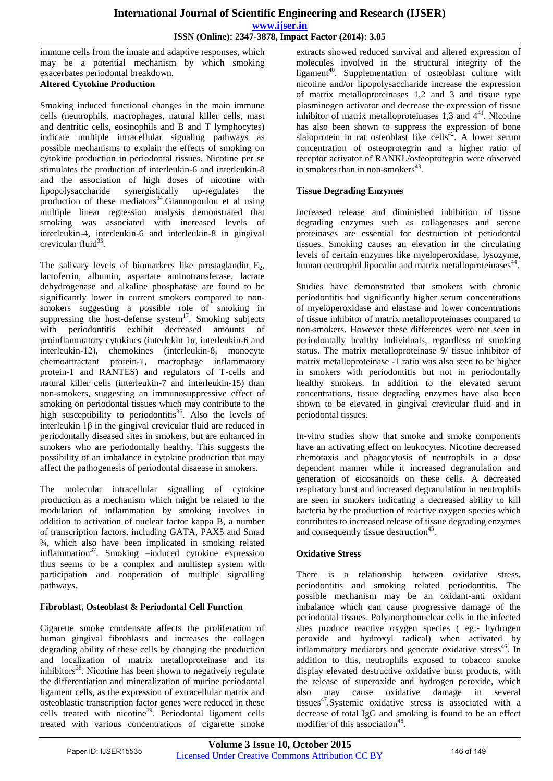immune cells from the innate and adaptive responses, which may be a potential mechanism by which smoking exacerbates periodontal breakdown.

## **Altered Cytokine Production**

Smoking induced functional changes in the main immune cells (neutrophils, macrophages, natural killer cells, mast and dentritic cells, eosinophils and B and T lymphocytes) indicate multiple intracellular signaling pathways as possible mechanisms to explain the effects of smoking on cytokine production in periodontal tissues. Nicotine per se stimulates the production of interleukin-6 and interleukin-8 and the association of high doses of nicotine with lipopolysaccharide synergistically up-regulates the production of these mediators $34$ . Giannopoulou et al using multiple linear regression analysis demonstrated that smoking was associated with increased levels of interleukin-4, interleukin-6 and interleukin-8 in gingival crevicular fluid<sup>35</sup>.

The salivary levels of biomarkers like prostaglandin  $E_2$ , lactoferrin, albumin, aspartate aminotransferase, lactate dehydrogenase and alkaline phosphatase are found to be significantly lower in current smokers compared to nonsmokers suggesting a possible role of smoking in suppressing the host-defense system $17$ . Smoking subjects with periodontitis exhibit decreased amounts of proinflammatory cytokines (interlekin 1α, interleukin-6 and interleukin-12), chemokines (interleukin-8, monocyte chemoattractant protein-1, macrophage inflammatory protein-1 and RANTES) and regulators of T-cells and natural killer cells (interleukin-7 and interleukin-15) than non-smokers, suggesting an immunosuppressive effect of smoking on periodontal tissues which may contribute to the high susceptibility to periodontitis<sup>36</sup>. Also the levels of interleukin 1β in the gingival crevicular fluid are reduced in periodontally diseased sites in smokers, but are enhanced in smokers who are periodontally healthy. This suggests the possibility of an imbalance in cytokine production that may affect the pathogenesis of periodontal disaease in smokers.

The molecular intracellular signalling of cytokine production as a mechanism which might be related to the modulation of inflammation by smoking involves in addition to activation of nuclear factor kappa B, a number of transcription factors, including GATA, PAX5 and Smad ¾, which also have been implicated in smoking related inflammation<sup>37</sup>. Smoking  $-i$ nduced cytokine expression thus seems to be a complex and multistep system with participation and cooperation of multiple signalling pathways.

#### **Fibroblast, Osteoblast & Periodontal Cell Function**

Cigarette smoke condensate affects the proliferation of human gingival fibroblasts and increases the collagen degrading ability of these cells by changing the production and localization of matrix metalloproteinase and its inhibitors $38$ . Nicotine has been shown to negatively regulate the differentiation and mineralization of murine periodontal ligament cells, as the expression of extracellular matrix and osteoblastic transcription factor genes were reduced in these cells treated with nicotine<sup>39</sup>. Periodontal ligament cells treated with various concentrations of cigarette smoke

extracts showed reduced survival and altered expression of molecules involved in the structural integrity of the ligament<sup>40</sup>. Supplementation of osteoblast culture with nicotine and/or lipopolysaccharide increase the expression of matrix metalloproteinases 1,2 and 3 and tissue type plasminogen activator and decrease the expression of tissue inhibitor of matrix metalloproteinases  $1,3$  and  $4<sup>41</sup>$ . Nicotine has also been shown to suppress the expression of bone sialoprotein in rat osteoblast like cells<sup>42</sup>. A lower serum concentration of osteoprotegrin and a higher ratio of receptor activator of RANKL/osteoprotegrin were observed in smokers than in non-smokers $43$ .

## **Tissue Degrading Enzymes**

Increased release and diminished inhibition of tissue degrading enzymes such as collagenases and serene proteinases are essential for destruction of periodontal tissues. Smoking causes an elevation in the circulating levels of certain enzymes like myeloperoxidase, lysozyme, human neutrophil lipocalin and matrix metalloproteinases<sup>44</sup>.

Studies have demonstrated that smokers with chronic periodontitis had significantly higher serum concentrations of myeloperoxidase and elastase and lower concentrations of tissue inhibitor of matrix metalloproteinases compared to non-smokers. However these differences were not seen in periodontally healthy individuals, regardless of smoking status. The matrix metalloproteinase 9/ tissue inhibitor of matrix metalloproteinase -1 ratio was also seen to be higher in smokers with periodontitis but not in periodontally healthy smokers. In addition to the elevated serum concentrations, tissue degrading enzymes have also been shown to be elevated in gingival crevicular fluid and in periodontal tissues.

In-vitro studies show that smoke and smoke components have an activating effect on leukocytes. Nicotine decreased chemotaxis and phagocytosis of neutrophils in a dose dependent manner while it increased degranulation and generation of eicosanoids on these cells. A decreased respiratory burst and increased degranulation in neutrophils are seen in smokers indicating a decreased ability to kill bacteria by the production of reactive oxygen species which contributes to increased release of tissue degrading enzymes and consequently tissue destruction<sup>45</sup>.

# **Oxidative Stress**

There is a relationship between oxidative stress, periodontitis and smoking related periodontitis. The possible mechanism may be an oxidant-anti oxidant imbalance which can cause progressive damage of the periodontal tissues. Polymorphonuclear cells in the infected sites produce reactive oxygen species ( eg:- hydrogen peroxide and hydroxyl radical) when activated by inflammatory mediators and generate oxidative stress<sup>46</sup>. In addition to this, neutrophils exposed to tobacco smoke display elevated destructive oxidative burst products, with the release of superoxide and hydrogen peroxide, which also may cause oxidative damage in several tissues<sup>47</sup>. Systemic oxidative stress is associated with a decrease of total IgG and smoking is found to be an effect modifier of this association<sup>48</sup>.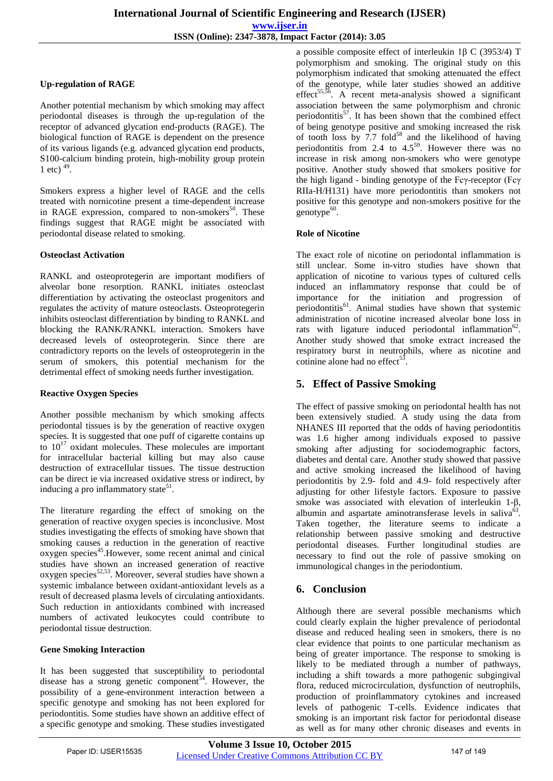#### **Up-regulation of RAGE**

Another potential mechanism by which smoking may affect periodontal diseases is through the up-regulation of the receptor of advanced glycation end-products (RAGE). The biological function of RAGE is dependent on the presence of its various ligands (e.g. advanced glycation end products, S100-calcium binding protein, high-mobility group protein 1 etc)  $^{49}$ .

Smokers express a higher level of RAGE and the cells treated with nornicotine present a time-dependent increase in RAGE expression, compared to non-smokers $50$ . These findings suggest that RAGE might be associated with periodontal disease related to smoking.

#### **Osteoclast Activation**

RANKL and osteoprotegerin are important modifiers of alveolar bone resorption. RANKL initiates osteoclast differentiation by activating the osteoclast progenitors and regulates the activity of mature osteoclasts. Osteoprotegerin inhibits osteoclast differentiation by binding to RANKL and blocking the RANK/RANKL interaction. Smokers have decreased levels of osteoprotegerin. Since there are contradictory reports on the levels of osteoprotegerin in the serum of smokers, this potential mechanism for the detrimental effect of smoking needs further investigation.

#### **Reactive Oxygen Species**

Another possible mechanism by which smoking affects periodontal tissues is by the generation of reactive oxygen species. It is suggested that one puff of cigarette contains up to  $10^{17}$  oxidant molecules. These molecules are important for intracellular bacterial killing but may also cause destruction of extracellular tissues. The tissue destruction can be direct ie via increased oxidative stress or indirect, by inducing a pro inflammatory state<sup>51</sup>.

The literature regarding the effect of smoking on the generation of reactive oxygen species is inconclusive. Most studies investigating the effects of smoking have shown that smoking causes a reduction in the generation of reactive oxygen species<sup>45</sup>. However, some recent animal and cinical studies have shown an increased generation of reactive  $o$ xygen species<sup>52,53</sup>. Moreover, several studies have shown a systemic imbalance between oxidant-antioxidant levels as a result of decreased plasma levels of circulating antioxidants. Such reduction in antioxidants combined with increased numbers of activated leukocytes could contribute to periodontal tissue destruction.

#### **Gene Smoking Interaction**

It has been suggested that susceptibility to periodontal disease has a strong genetic component<sup>54</sup>. However, the possibility of a gene-environment interaction between a specific genotype and smoking has not been explored for periodontitis. Some studies have shown an additive effect of a specific genotype and smoking. These studies investigated

a possible composite effect of interleukin 1β C (3953/4) T polymorphism and smoking. The original study on this polymorphism indicated that smoking attenuated the effect of the genotype, while later studies showed an additive effect<sup>55,56</sup>. A recent meta-analysis showed a significant association between the same polymorphism and chronic periodontitis<sup>57</sup>. It has been shown that the combined effect of being genotype positive and smoking increased the risk of tooth loss by 7.7 fold<sup>58</sup> and the likelihood of having periodontitis from 2.4 to  $4.5^{59}$ . However there was no increase in risk among non-smokers who were genotype positive. Another study showed that smokers positive for the high ligand - binding genotype of the Fcγ-receptor (Fcγ RIIa-H/H131) have more periodontitis than smokers not positive for this genotype and non-smokers positive for the  $genotype^{60}$ .

#### **Role of Nicotine**

The exact role of nicotine on periodontal inflammation is still unclear. Some in-vitro studies have shown that application of nicotine to various types of cultured cells induced an inflammatory response that could be of importance for the initiation and progression of periodontitis<sup>61</sup>. Animal studies have shown that systemic administration of nicotine increased alveolar bone loss in rats with ligature induced periodontal inflammation $62$ . Another study showed that smoke extract increased the respiratory burst in neutrophils, where as nicotine and cotinine alone had no effect $^{53}$ .

## **5. Effect of Passive Smoking**

The effect of passive smoking on periodontal health has not been extensively studied. A study using the data from NHANES III reported that the odds of having periodontitis was 1.6 higher among individuals exposed to passive smoking after adjusting for sociodemographic factors, diabetes and dental care. Another study showed that passive and active smoking increased the likelihood of having periodontitis by 2.9- fold and 4.9- fold respectively after adjusting for other lifestyle factors. Exposure to passive smoke was associated with elevation of interleukin 1-β, albumin and aspartate aminotransferase levels in saliva $6$ . Taken together, the literature seems to indicate a relationship between passive smoking and destructive periodontal diseases. Further longitudinal studies are necessary to find out the role of passive smoking on immunological changes in the periodontium.

#### **6. Conclusion**

Although there are several possible mechanisms which could clearly explain the higher prevalence of periodontal disease and reduced healing seen in smokers, there is no clear evidence that points to one particular mechanism as being of greater importance. The response to smoking is likely to be mediated through a number of pathways, including a shift towards a more pathogenic subgingival flora, reduced microcirculation, dysfunction of neutrophils, production of proinflammatory cytokines and increased levels of pathogenic T-cells. Evidence indicates that smoking is an important risk factor for periodontal disease as well as for many other chronic diseases and events in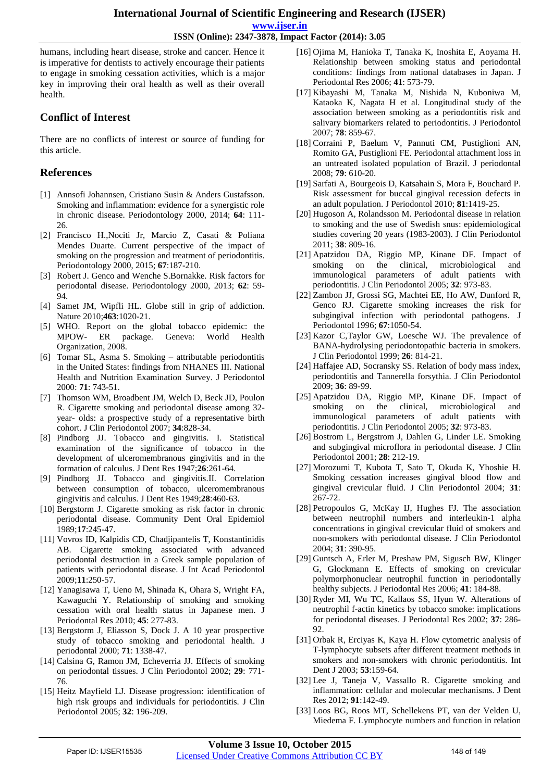**ISSN (Online): 2347-3878, Impact Factor (2014): 3.05**

humans, including heart disease, stroke and cancer. Hence it is imperative for dentists to actively encourage their patients to engage in smoking cessation activities, which is a major key in improving their oral health as well as their overall health.

### **Conflict of Interest**

There are no conflicts of interest or source of funding for this article.

## **References**

- [1] Annsofi Johannsen, Cristiano Susin & Anders Gustafsson. Smoking and inflammation: evidence for a synergistic role in chronic disease. Periodontology 2000, 2014; **64**: 111- 26.
- [2] Francisco H.,Nociti Jr, Marcio Z, Casati & Poliana Mendes Duarte. Current perspective of the impact of smoking on the progression and treatment of periodontitis. Periodontology 2000, 2015; **67**:187-210.
- [3] Robert J. Genco and Wenche S.Bornakke. Risk factors for periodontal disease. Periodontology 2000, 2013; **62**: 59- 94.
- [4] Samet JM, Wipfli HL. Globe still in grip of addiction. Nature 2010;**463**:1020-21.
- [5] WHO. Report on the global tobacco epidemic: the package. Geneva: World Health Organization, 2008.
- [6] Tomar SL, Asma S. Smoking attributable periodontitis in the United States: findings from NHANES III. National Health and Nutrition Examination Survey. J Periodontol 2000: **71**: 743-51.
- [7] Thomson WM, Broadbent JM, Welch D, Beck JD, Poulon R. Cigarette smoking and periodontal disease among 32 year- olds: a prospective study of a representative birth cohort. J Clin Periodontol 2007; **34**:828-34.
- [8] Pindborg JJ. Tobacco and gingivitis. I. Statistical examination of the significance of tobacco in the development of ulceromembranous gingivitis and in the formation of calculus. J Dent Res 1947;**26**:261-64.
- [9] Pindborg JJ. Tobacco and gingivitis.II. Correlation between consumption of tobacco, ulceromembranous gingivitis and calculus. J Dent Res 1949;**28**:460-63.
- [10] Bergstorm J. Cigarette smoking as risk factor in chronic periodontal disease. Community Dent Oral Epidemiol 1989;**17**:245-47.
- [11] Vovros ID, Kalpidis CD, Chadjipantelis T, Konstantinidis AB. Cigarette smoking associated with advanced periodontal destruction in a Greek sample population of patients with periodontal disease. J Int Acad Periodontol 2009;**11**:250-57.
- [12] Yanagisawa T, Ueno M, Shinada K, Ohara S, Wright FA, Kawaguchi Y. Relationship of smoking and smoking cessation with oral health status in Japanese men. J Periodontal Res 2010; **45**: 277-83.
- [13] Bergstorm J, Eliasson S, Dock J. A 10 year prospective study of tobacco smoking and periodontal health. J periodontal 2000; **71**: 1338-47.
- [14] Calsina G, Ramon JM, Echeverria JJ. Effects of smoking on periodontal tissues. J Clin Periodontol 2002; **29**: 771- 76.
- [15] Heitz Mayfield LJ. Disease progression: identification of high risk groups and individuals for periodontitis. J Clin Periodontol 2005; **32**: 196-209.
- [16] Ojima M, Hanioka T, Tanaka K, Inoshita E, Aoyama H. Relationship between smoking status and periodontal conditions: findings from national databases in Japan. J Periodontal Res 2006; **41**: 573-79.
- [17] Kibayashi M, Tanaka M, Nishida N, Kuboniwa M, Kataoka K, Nagata H et al. Longitudinal study of the association between smoking as a periodontitis risk and salivary biomarkers related to periodontitis. J Periodontol 2007; **78**: 859-67.
- [18] Corraini P, Baelum V, Pannuti CM, Pustiglioni AN, Romito GA, Pustiglioni FE. Periodontal attachment loss in an untreated isolated population of Brazil. J periodontal 2008; **79**: 610-20.
- [19] Sarfati A, Bourgeois D, Katsahain S, Mora F, Bouchard P. Risk assessment for buccal gingival recession defects in an adult population. J Periodontol 2010; **81**:1419-25.
- [20] Hugoson A, Rolandsson M. Periodontal disease in relation to smoking and the use of Swedish snus: epidemiological studies covering 20 years (1983-2003). J Clin Periodontol 2011; **38**: 809-16.
- [21] Apatzidou DA, Riggio MP, Kinane DF. Impact of smoking on the clinical, microbiological and immunological parameters of adult patients with periodontitis. J Clin Periodontol 2005; **32**: 973-83.
- [22] Zambon JJ, Grossi SG, Machtei EE, Ho AW, Dunford R, Genco RJ. Cigarette smoking increases the risk for subgingival infection with periodontal pathogens. J Periodontol 1996; **67**:1050-54.
- [23] Kazor C,Taylor GW, Loesche WJ. The prevalence of BANA-hydrolysing periodontopathic bacteria in smokers. J Clin Periodontol 1999; **26**: 814-21.
- [24] Haffajee AD, Socransky SS. Relation of body mass index, periodontitis and Tannerella forsythia. J Clin Periodontol 2009; **36**: 89-99.
- [25] Apatzidou DA, Riggio MP, Kinane DF. Impact of smoking on the clinical, microbiological and immunological parameters of adult patients with periodontitis. J Clin Periodontol 2005; **32**: 973-83.
- [26] Bostrom L, Bergstrom J, Dahlen G, Linder LE. Smoking and subgingival microflora in periodontal disease. J Clin Periodontol 2001; **28**: 212-19.
- [27] Morozumi T, Kubota T, Sato T, Okuda K, Yhoshie H. Smoking cessation increases gingival blood flow and gingival crevicular fluid. J Clin Periodontol 2004; **31**: 267-72.
- [28] Petropoulos G, McKay IJ, Hughes FJ. The association between neutrophil numbers and interleukin-1 alpha concentrations in gingival crevicular fluid of smokers and non-smokers with periodontal disease. J Clin Periodontol 2004; **31**: 390-95.
- [29] Guntsch A, Erler M, Preshaw PM, Sigusch BW, Klinger G, Glockmann E. Effects of smoking on crevicular polymorphonuclear neutrophil function in periodontally healthy subjects. J Periodontal Res 2006; **41**: 184-88.
- [30] Ryder MI, Wu TC, Kallaos SS, Hyun W. Alterations of neutrophil f-actin kinetics by tobacco smoke: implications for periodontal diseases. J Periodontal Res 2002; **37**: 286- 92.
- [31] Orbak R, Erciyas K, Kaya H. Flow cytometric analysis of T-lymphocyte subsets after different treatment methods in smokers and non-smokers with chronic periodontitis. Int Dent J 2003; **53**:159-64.
- [32] Lee J, Taneja V, Vassallo R. Cigarette smoking and inflammation: cellular and molecular mechanisms. J Dent Res 2012; **91**:142-49.
- [33] Loos BG, Roos MT, Schellekens PT, van der Velden U, Miedema F. Lymphocyte numbers and function in relation